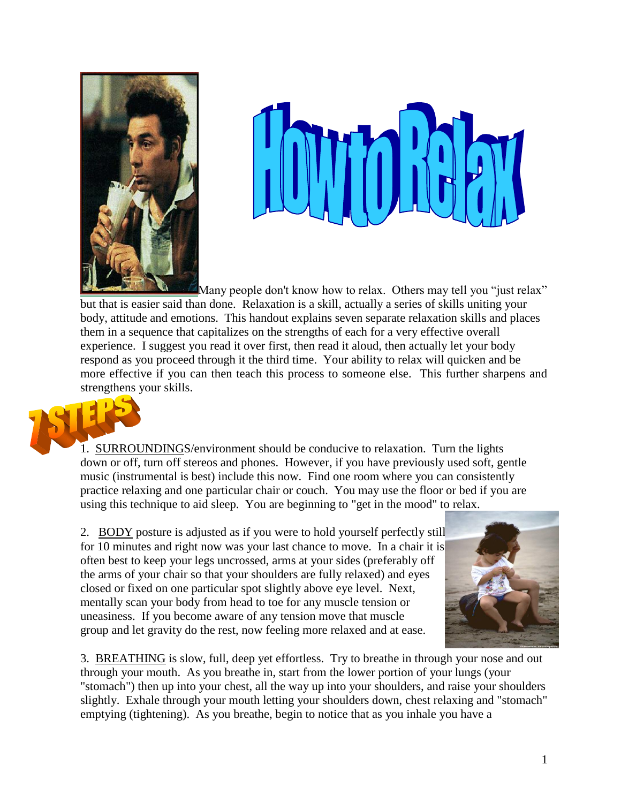



Many people don't know how to relax. Others may tell you "just relax" but that is easier said than done. Relaxation is a skill, actually a series of skills uniting your body, attitude and emotions. This handout explains seven separate relaxation skills and places them in a sequence that capitalizes on the strengths of each for a very effective overall experience. I suggest you read it over first, then read it aloud, then actually let your body respond as you proceed through it the third time. Your ability to relax will quicken and be more effective if you can then teach this process to someone else. This further sharpens and strengthens your skills.



1. SURROUNDINGS/environment should be conducive to relaxation. Turn the lights down or off, turn off stereos and phones. However, if you have previously used soft, gentle music (instrumental is best) include this now. Find one room where you can consistently practice relaxing and one particular chair or couch. You may use the floor or bed if you are using this technique to aid sleep. You are beginning to "get in the mood" to relax.

2. BODY posture is adjusted as if you were to hold yourself perfectly still for 10 minutes and right now was your last chance to move. In a chair it is often best to keep your legs uncrossed, arms at your sides (preferably off the arms of your chair so that your shoulders are fully relaxed) and eyes closed or fixed on one particular spot slightly above eye level. Next, mentally scan your body from head to toe for any muscle tension or uneasiness. If you become aware of any tension move that muscle group and let gravity do the rest, now feeling more relaxed and at ease.



3. BREATHING is slow, full, deep yet effortless. Try to breathe in through your nose and out through your mouth. As you breathe in, start from the lower portion of your lungs (your "stomach") then up into your chest, all the way up into your shoulders, and raise your shoulders slightly. Exhale through your mouth letting your shoulders down, chest relaxing and "stomach" emptying (tightening). As you breathe, begin to notice that as you inhale you have a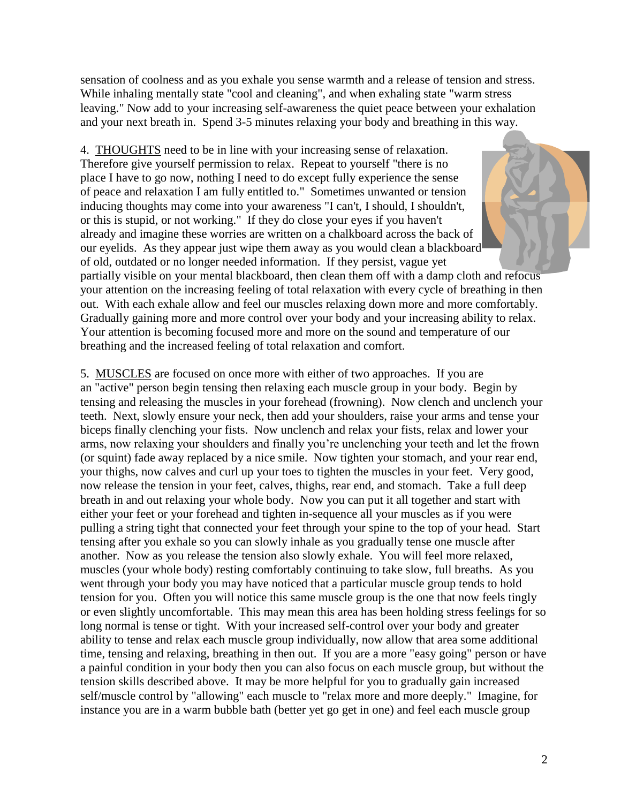sensation of coolness and as you exhale you sense warmth and a release of tension and stress. While inhaling mentally state "cool and cleaning", and when exhaling state "warm stress leaving." Now add to your increasing self-awareness the quiet peace between your exhalation and your next breath in. Spend 3-5 minutes relaxing your body and breathing in this way.

4. THOUGHTS need to be in line with your increasing sense of relaxation. Therefore give yourself permission to relax. Repeat to yourself "there is no place I have to go now, nothing I need to do except fully experience the sense of peace and relaxation I am fully entitled to." Sometimes unwanted or tension inducing thoughts may come into your awareness "I can't, I should, I shouldn't, or this is stupid, or not working." If they do close your eyes if you haven't already and imagine these worries are written on a chalkboard across the back of our eyelids. As they appear just wipe them away as you would clean a blackboard of old, outdated or no longer needed information. If they persist, vague yet

partially visible on your mental blackboard, then clean them off with a damp cloth and refocus your attention on the increasing feeling of total relaxation with every cycle of breathing in then out. With each exhale allow and feel our muscles relaxing down more and more comfortably. Gradually gaining more and more control over your body and your increasing ability to relax. Your attention is becoming focused more and more on the sound and temperature of our breathing and the increased feeling of total relaxation and comfort.

5. MUSCLES are focused on once more with either of two approaches. If you are an "active" person begin tensing then relaxing each muscle group in your body. Begin by tensing and releasing the muscles in your forehead (frowning). Now clench and unclench your teeth. Next, slowly ensure your neck, then add your shoulders, raise your arms and tense your biceps finally clenching your fists. Now unclench and relax your fists, relax and lower your arms, now relaxing your shoulders and finally you're unclenching your teeth and let the frown (or squint) fade away replaced by a nice smile. Now tighten your stomach, and your rear end, your thighs, now calves and curl up your toes to tighten the muscles in your feet. Very good, now release the tension in your feet, calves, thighs, rear end, and stomach. Take a full deep breath in and out relaxing your whole body. Now you can put it all together and start with either your feet or your forehead and tighten in-sequence all your muscles as if you were pulling a string tight that connected your feet through your spine to the top of your head. Start tensing after you exhale so you can slowly inhale as you gradually tense one muscle after another. Now as you release the tension also slowly exhale. You will feel more relaxed, muscles (your whole body) resting comfortably continuing to take slow, full breaths. As you went through your body you may have noticed that a particular muscle group tends to hold tension for you. Often you will notice this same muscle group is the one that now feels tingly or even slightly uncomfortable. This may mean this area has been holding stress feelings for so long normal is tense or tight. With your increased self-control over your body and greater ability to tense and relax each muscle group individually, now allow that area some additional time, tensing and relaxing, breathing in then out. If you are a more "easy going" person or have a painful condition in your body then you can also focus on each muscle group, but without the tension skills described above. It may be more helpful for you to gradually gain increased self/muscle control by "allowing" each muscle to "relax more and more deeply." Imagine, for instance you are in a warm bubble bath (better yet go get in one) and feel each muscle group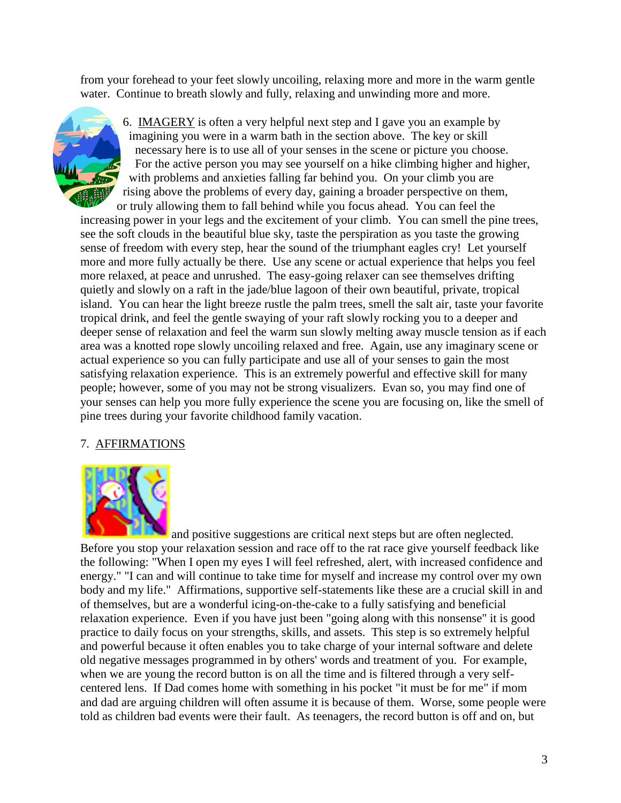from your forehead to your feet slowly uncoiling, relaxing more and more in the warm gentle water. Continue to breath slowly and fully, relaxing and unwinding more and more.



 6. IMAGERY is often a very helpful next step and I gave you an example by imagining you were in a warm bath in the section above. The key or skill necessary here is to use all of your senses in the scene or picture you choose. For the active person you may see yourself on a hike climbing higher and higher, with problems and anxieties falling far behind you. On your climb you are rising above the problems of every day, gaining a broader perspective on them, or truly allowing them to fall behind while you focus ahead. You can feel the

increasing power in your legs and the excitement of your climb. You can smell the pine trees, see the soft clouds in the beautiful blue sky, taste the perspiration as you taste the growing sense of freedom with every step, hear the sound of the triumphant eagles cry! Let yourself more and more fully actually be there. Use any scene or actual experience that helps you feel more relaxed, at peace and unrushed. The easy-going relaxer can see themselves drifting quietly and slowly on a raft in the jade/blue lagoon of their own beautiful, private, tropical island. You can hear the light breeze rustle the palm trees, smell the salt air, taste your favorite tropical drink, and feel the gentle swaying of your raft slowly rocking you to a deeper and deeper sense of relaxation and feel the warm sun slowly melting away muscle tension as if each area was a knotted rope slowly uncoiling relaxed and free. Again, use any imaginary scene or actual experience so you can fully participate and use all of your senses to gain the most satisfying relaxation experience. This is an extremely powerful and effective skill for many people; however, some of you may not be strong visualizers. Evan so, you may find one of your senses can help you more fully experience the scene you are focusing on, like the smell of pine trees during your favorite childhood family vacation.

## 7. AFFIRMATIONS



and positive suggestions are critical next steps but are often neglected. Before you stop your relaxation session and race off to the rat race give yourself feedback like the following: "When I open my eyes I will feel refreshed, alert, with increased confidence and energy." "I can and will continue to take time for myself and increase my control over my own body and my life." Affirmations, supportive self-statements like these are a crucial skill in and of themselves, but are a wonderful icing-on-the-cake to a fully satisfying and beneficial relaxation experience. Even if you have just been "going along with this nonsense" it is good practice to daily focus on your strengths, skills, and assets. This step is so extremely helpful and powerful because it often enables you to take charge of your internal software and delete old negative messages programmed in by others' words and treatment of you. For example, when we are young the record button is on all the time and is filtered through a very selfcentered lens. If Dad comes home with something in his pocket "it must be for me" if mom and dad are arguing children will often assume it is because of them. Worse, some people were told as children bad events were their fault. As teenagers, the record button is off and on, but